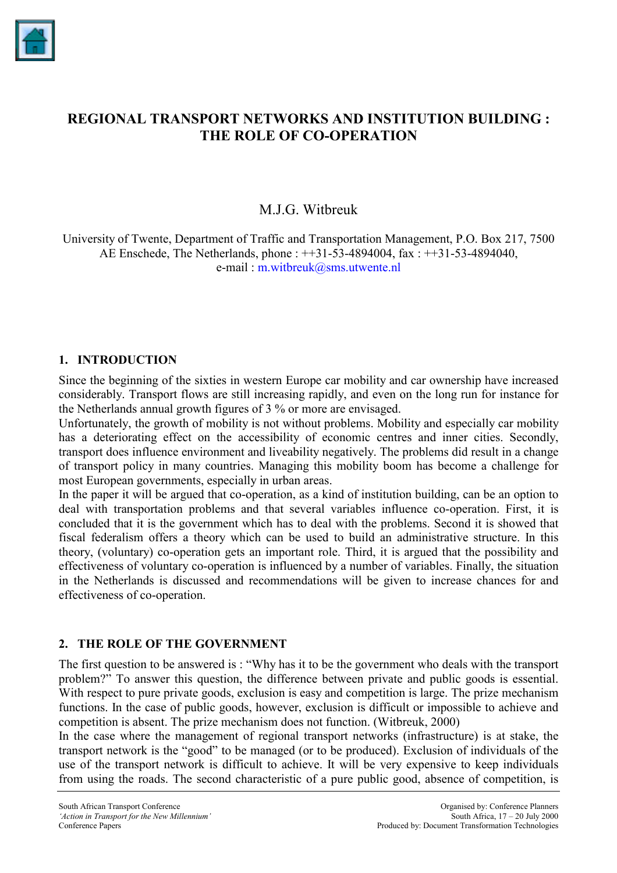

# **REGIONAL TRANSPORT NETWORKS AND INSTITUTION BUILDING : THE ROLE OF CO-OPERATION**

# M.J.G. Witbreuk

University of Twente, Department of Traffic and Transportation Management, P.O. Box 217, 7500 AE Enschede, The Netherlands, phone : ++31-53-4894004, fax : ++31-53-4894040, e-mail : [m.witbreuk@sms.utwente.nl](mailto:m.witbreuk@sms.utwente.nl)

#### **1. INTRODUCTION**

Since the beginning of the sixties in western Europe car mobility and car ownership have increased considerably. Transport flows are still increasing rapidly, and even on the long run for instance for the Netherlands annual growth figures of 3 % or more are envisaged.

Unfortunately, the growth of mobility is not without problems. Mobility and especially car mobility has a deteriorating effect on the accessibility of economic centres and inner cities. Secondly, transport does influence environment and liveability negatively. The problems did result in a change of transport policy in many countries. Managing this mobility boom has become a challenge for most European governments, especially in urban areas.

In the paper it will be argued that co-operation, as a kind of institution building, can be an option to deal with transportation problems and that several variables influence co-operation. First, it is concluded that it is the government which has to deal with the problems. Second it is showed that fiscal federalism offers a theory which can be used to build an administrative structure. In this theory, (voluntary) co-operation gets an important role. Third, it is argued that the possibility and effectiveness of voluntary co-operation is influenced by a number of variables. Finally, the situation in the Netherlands is discussed and recommendations will be given to increase chances for and effectiveness of co-operation.

### **2. THE ROLE OF THE GOVERNMENT**

The first question to be answered is : "Why has it to be the government who deals with the transport problem?" To answer this question, the difference between private and public goods is essential. With respect to pure private goods, exclusion is easy and competition is large. The prize mechanism functions. In the case of public goods, however, exclusion is difficult or impossible to achieve and competition is absent. The prize mechanism does not function. (Witbreuk, 2000)

In the case where the management of regional transport networks (infrastructure) is at stake, the transport network is the "good" to be managed (or to be produced). Exclusion of individuals of the use of the transport network is difficult to achieve. It will be very expensive to keep individuals from using the roads. The second characteristic of a pure public good, absence of competition, is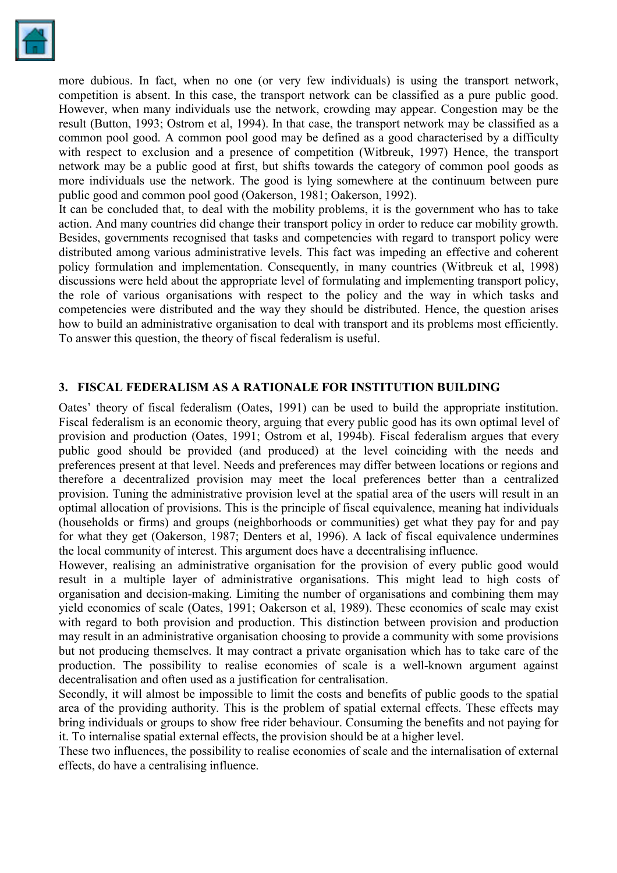

more dubious. In fact, when no one (or very few individuals) is using the transport network, competition is absent. In this case, the transport network can be classified as a pure public good. However, when many individuals use the network, crowding may appear. Congestion may be the result (Button, 1993; Ostrom et al, 1994). In that case, the transport network may be classified as a common pool good. A common pool good may be defined as a good characterised by a difficulty with respect to exclusion and a presence of competition (Witbreuk, 1997) Hence, the transport network may be a public good at first, but shifts towards the category of common pool goods as more individuals use the network. The good is lying somewhere at the continuum between pure public good and common pool good (Oakerson, 1981; Oakerson, 1992).

It can be concluded that, to deal with the mobility problems, it is the government who has to take action. And many countries did change their transport policy in order to reduce car mobility growth. Besides, governments recognised that tasks and competencies with regard to transport policy were distributed among various administrative levels. This fact was impeding an effective and coherent policy formulation and implementation. Consequently, in many countries (Witbreuk et al, 1998) discussions were held about the appropriate level of formulating and implementing transport policy, the role of various organisations with respect to the policy and the way in which tasks and competencies were distributed and the way they should be distributed. Hence, the question arises how to build an administrative organisation to deal with transport and its problems most efficiently. To answer this question, the theory of fiscal federalism is useful.

### **3. FISCAL FEDERALISM AS A RATIONALE FOR INSTITUTION BUILDING**

Oates' theory of fiscal federalism (Oates, 1991) can be used to build the appropriate institution. Fiscal federalism is an economic theory, arguing that every public good has its own optimal level of provision and production (Oates, 1991; Ostrom et al, 1994b). Fiscal federalism argues that every public good should be provided (and produced) at the level coinciding with the needs and preferences present at that level. Needs and preferences may differ between locations or regions and therefore a decentralized provision may meet the local preferences better than a centralized provision. Tuning the administrative provision level at the spatial area of the users will result in an optimal allocation of provisions. This is the principle of fiscal equivalence, meaning hat individuals (households or firms) and groups (neighborhoods or communities) get what they pay for and pay for what they get (Oakerson, 1987; Denters et al, 1996). A lack of fiscal equivalence undermines the local community of interest. This argument does have a decentralising influence.

However, realising an administrative organisation for the provision of every public good would result in a multiple layer of administrative organisations. This might lead to high costs of organisation and decision-making. Limiting the number of organisations and combining them may yield economies of scale (Oates, 1991; Oakerson et al, 1989). These economies of scale may exist with regard to both provision and production. This distinction between provision and production may result in an administrative organisation choosing to provide a community with some provisions but not producing themselves. It may contract a private organisation which has to take care of the production. The possibility to realise economies of scale is a well-known argument against decentralisation and often used as a justification for centralisation.

Secondly, it will almost be impossible to limit the costs and benefits of public goods to the spatial area of the providing authority. This is the problem of spatial external effects. These effects may bring individuals or groups to show free rider behaviour. Consuming the benefits and not paying for it. To internalise spatial external effects, the provision should be at a higher level.

These two influences, the possibility to realise economies of scale and the internalisation of external effects, do have a centralising influence.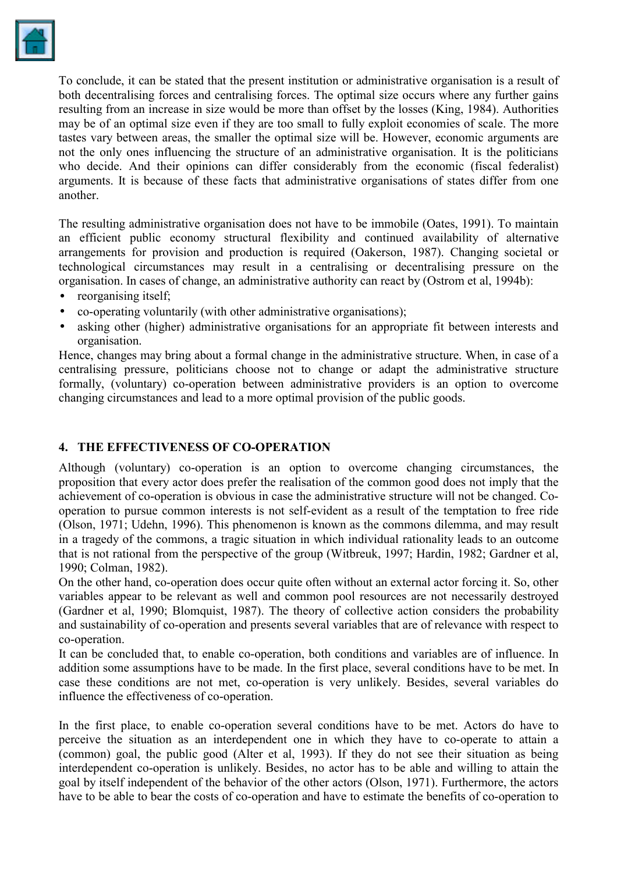

To conclude, it can be stated that the present institution or administrative organisation is a result of both decentralising forces and centralising forces. The optimal size occurs where any further gains resulting from an increase in size would be more than offset by the losses (King, 1984). Authorities may be of an optimal size even if they are too small to fully exploit economies of scale. The more tastes vary between areas, the smaller the optimal size will be. However, economic arguments are not the only ones influencing the structure of an administrative organisation. It is the politicians who decide. And their opinions can differ considerably from the economic (fiscal federalist) arguments. It is because of these facts that administrative organisations of states differ from one another.

The resulting administrative organisation does not have to be immobile (Oates, 1991). To maintain an efficient public economy structural flexibility and continued availability of alternative arrangements for provision and production is required (Oakerson, 1987). Changing societal or technological circumstances may result in a centralising or decentralising pressure on the organisation. In cases of change, an administrative authority can react by (Ostrom et al, 1994b):

- reorganising itself:
- co-operating voluntarily (with other administrative organisations);
- asking other (higher) administrative organisations for an appropriate fit between interests and organisation.

Hence, changes may bring about a formal change in the administrative structure. When, in case of a centralising pressure, politicians choose not to change or adapt the administrative structure formally, (voluntary) co-operation between administrative providers is an option to overcome changing circumstances and lead to a more optimal provision of the public goods.

### **4. THE EFFECTIVENESS OF CO-OPERATION**

Although (voluntary) co-operation is an option to overcome changing circumstances, the proposition that every actor does prefer the realisation of the common good does not imply that the achievement of co-operation is obvious in case the administrative structure will not be changed. Cooperation to pursue common interests is not self-evident as a result of the temptation to free ride (Olson, 1971; Udehn, 1996). This phenomenon is known as the commons dilemma, and may result in a tragedy of the commons, a tragic situation in which individual rationality leads to an outcome that is not rational from the perspective of the group (Witbreuk, 1997; Hardin, 1982; Gardner et al, 1990; Colman, 1982).

On the other hand, co-operation does occur quite often without an external actor forcing it. So, other variables appear to be relevant as well and common pool resources are not necessarily destroyed (Gardner et al, 1990; Blomquist, 1987). The theory of collective action considers the probability and sustainability of co-operation and presents several variables that are of relevance with respect to co-operation.

It can be concluded that, to enable co-operation, both conditions and variables are of influence. In addition some assumptions have to be made. In the first place, several conditions have to be met. In case these conditions are not met, co-operation is very unlikely. Besides, several variables do influence the effectiveness of co-operation.

In the first place, to enable co-operation several conditions have to be met. Actors do have to perceive the situation as an interdependent one in which they have to co-operate to attain a (common) goal, the public good (Alter et al, 1993). If they do not see their situation as being interdependent co-operation is unlikely. Besides, no actor has to be able and willing to attain the goal by itself independent of the behavior of the other actors (Olson, 1971). Furthermore, the actors have to be able to bear the costs of co-operation and have to estimate the benefits of co-operation to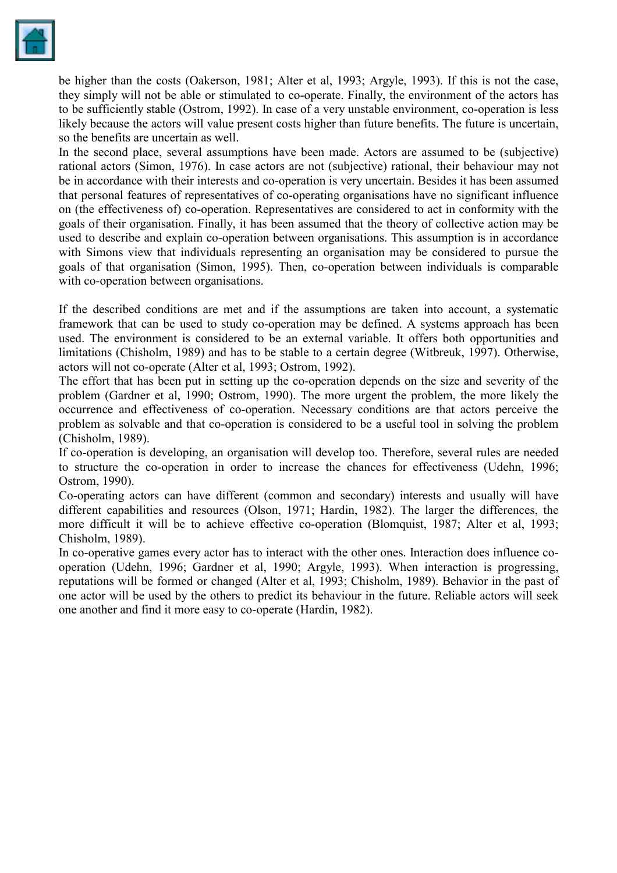

be higher than the costs (Oakerson, 1981; Alter et al, 1993; Argyle, 1993). If this is not the case, they simply will not be able or stimulated to co-operate. Finally, the environment of the actors has to be sufficiently stable (Ostrom, 1992). In case of a very unstable environment, co-operation is less likely because the actors will value present costs higher than future benefits. The future is uncertain, so the benefits are uncertain as well.

In the second place, several assumptions have been made. Actors are assumed to be (subjective) rational actors (Simon, 1976). In case actors are not (subjective) rational, their behaviour may not be in accordance with their interests and co-operation is very uncertain. Besides it has been assumed that personal features of representatives of co-operating organisations have no significant influence on (the effectiveness of) co-operation. Representatives are considered to act in conformity with the goals of their organisation. Finally, it has been assumed that the theory of collective action may be used to describe and explain co-operation between organisations. This assumption is in accordance with Simons view that individuals representing an organisation may be considered to pursue the goals of that organisation (Simon, 1995). Then, co-operation between individuals is comparable with co-operation between organisations.

If the described conditions are met and if the assumptions are taken into account, a systematic framework that can be used to study co-operation may be defined. A systems approach has been used. The environment is considered to be an external variable. It offers both opportunities and limitations (Chisholm, 1989) and has to be stable to a certain degree (Witbreuk, 1997). Otherwise, actors will not co-operate (Alter et al, 1993; Ostrom, 1992).

The effort that has been put in setting up the co-operation depends on the size and severity of the problem (Gardner et al, 1990; Ostrom, 1990). The more urgent the problem, the more likely the occurrence and effectiveness of co-operation. Necessary conditions are that actors perceive the problem as solvable and that co-operation is considered to be a useful tool in solving the problem (Chisholm, 1989).

If co-operation is developing, an organisation will develop too. Therefore, several rules are needed to structure the co-operation in order to increase the chances for effectiveness (Udehn, 1996; Ostrom, 1990).

Co-operating actors can have different (common and secondary) interests and usually will have different capabilities and resources (Olson, 1971; Hardin, 1982). The larger the differences, the more difficult it will be to achieve effective co-operation (Blomquist, 1987; Alter et al, 1993; Chisholm, 1989).

In co-operative games every actor has to interact with the other ones. Interaction does influence cooperation (Udehn, 1996; Gardner et al, 1990; Argyle, 1993). When interaction is progressing, reputations will be formed or changed (Alter et al, 1993; Chisholm, 1989). Behavior in the past of one actor will be used by the others to predict its behaviour in the future. Reliable actors will seek one another and find it more easy to co-operate (Hardin, 1982).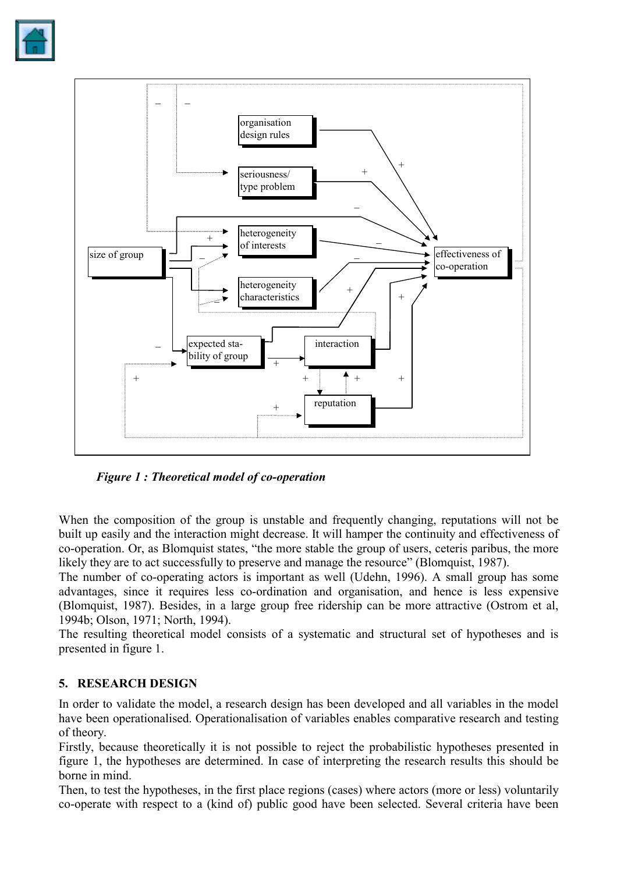



*Figure 1 : Theoretical model of co-operation* 

When the composition of the group is unstable and frequently changing, reputations will not be built up easily and the interaction might decrease. It will hamper the continuity and effectiveness of co-operation. Or, as Blomquist states, "the more stable the group of users, ceteris paribus, the more likely they are to act successfully to preserve and manage the resource" (Blomquist, 1987).

The number of co-operating actors is important as well (Udehn, 1996). A small group has some advantages, since it requires less co-ordination and organisation, and hence is less expensive (Blomquist, 1987). Besides, in a large group free ridership can be more attractive (Ostrom et al, 1994b; Olson, 1971; North, 1994).

The resulting theoretical model consists of a systematic and structural set of hypotheses and is presented in figure 1.

## **5. RESEARCH DESIGN**

In order to validate the model, a research design has been developed and all variables in the model have been operationalised. Operationalisation of variables enables comparative research and testing of theory.

Firstly, because theoretically it is not possible to reject the probabilistic hypotheses presented in figure 1, the hypotheses are determined. In case of interpreting the research results this should be borne in mind.

Then, to test the hypotheses, in the first place regions (cases) where actors (more or less) voluntarily co-operate with respect to a (kind of) public good have been selected. Several criteria have been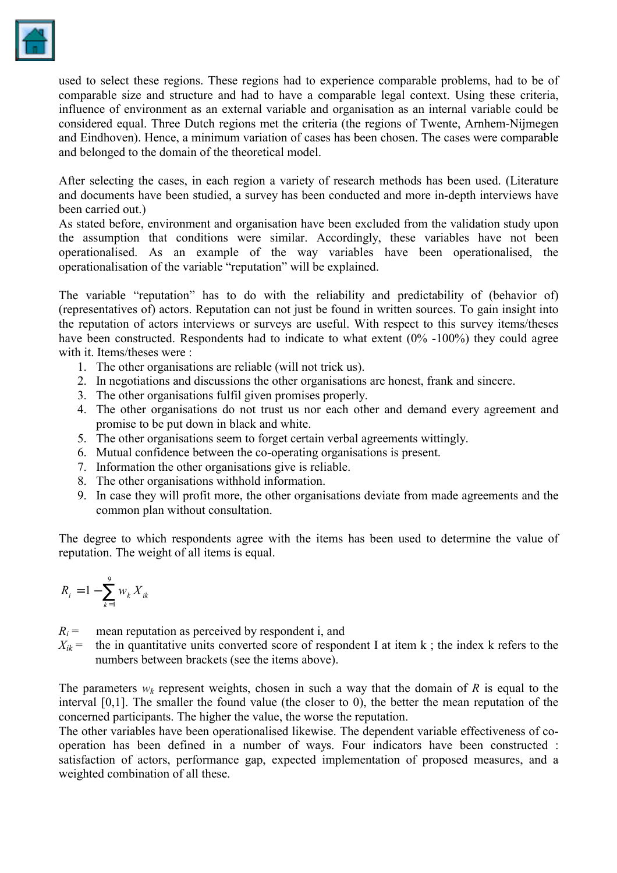

used to select these regions. These regions had to experience comparable problems, had to be of comparable size and structure and had to have a comparable legal context. Using these criteria, influence of environment as an external variable and organisation as an internal variable could be considered equal. Three Dutch regions met the criteria (the regions of Twente, Arnhem-Nijmegen and Eindhoven). Hence, a minimum variation of cases has been chosen. The cases were comparable and belonged to the domain of the theoretical model.

After selecting the cases, in each region a variety of research methods has been used. (Literature and documents have been studied, a survey has been conducted and more in-depth interviews have been carried out.)

As stated before, environment and organisation have been excluded from the validation study upon the assumption that conditions were similar. Accordingly, these variables have not been operationalised. As an example of the way variables have been operationalised, the operationalisation of the variable "reputation" will be explained.

The variable "reputation" has to do with the reliability and predictability of (behavior of) (representatives of) actors. Reputation can not just be found in written sources. To gain insight into the reputation of actors interviews or surveys are useful. With respect to this survey items/theses have been constructed. Respondents had to indicate to what extent (0% -100%) they could agree with it. Items/theses were :

- 1. The other organisations are reliable (will not trick us).
- 2. In negotiations and discussions the other organisations are honest, frank and sincere.
- 3. The other organisations fulfil given promises properly.
- 4. The other organisations do not trust us nor each other and demand every agreement and promise to be put down in black and white.
- 5. The other organisations seem to forget certain verbal agreements wittingly.
- 6. Mutual confidence between the co-operating organisations is present.
- 7. Information the other organisations give is reliable.
- 8. The other organisations withhold information.
- 9. In case they will profit more, the other organisations deviate from made agreements and the common plan without consultation.

The degree to which respondents agree with the items has been used to determine the value of reputation. The weight of all items is equal.

$$
R_i = 1 - \sum_{k=1}^9 w_k X_{ik}
$$

 $R_i$  = mean reputation as perceived by respondent i, and

 $X_{ik}$  = the in quantitative units converted score of respondent I at item k; the index k refers to the numbers between brackets (see the items above).

The parameters  $w_k$  represent weights, chosen in such a way that the domain of *R* is equal to the interval [0,1]. The smaller the found value (the closer to 0), the better the mean reputation of the concerned participants. The higher the value, the worse the reputation.

The other variables have been operationalised likewise. The dependent variable effectiveness of cooperation has been defined in a number of ways. Four indicators have been constructed : satisfaction of actors, performance gap, expected implementation of proposed measures, and a weighted combination of all these.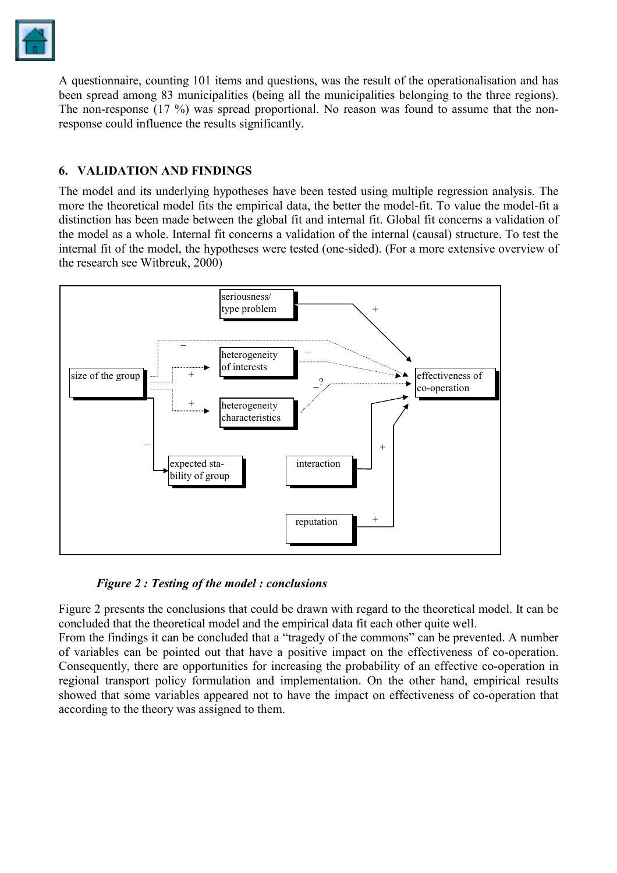

A questionnaire, counting 101 items and questions, was the result of the operationalisation and has been spread among 83 municipalities (being all the municipalities belonging to the three regions). The non-response (17 %) was spread proportional. No reason was found to assume that the nonresponse could influence the results significantly.

## **6. VALIDATION AND FINDINGS**

The model and its underlying hypotheses have been tested using multiple regression analysis. The more the theoretical model fits the empirical data, the better the model-fit. To value the model-fit a distinction has been made between the global fit and internal fit. Global fit concerns a validation of the model as a whole. Internal fit concerns a validation of the internal (causal) structure. To test the internal fit of the model, the hypotheses were tested (one-sided). (For a more extensive overview of the research see Witbreuk, 2000)



*Figure 2 : Testing of the model : conclusions* 

Figure 2 presents the conclusions that could be drawn with regard to the theoretical model. It can be concluded that the theoretical model and the empirical data fit each other quite well.

From the findings it can be concluded that a "tragedy of the commons" can be prevented. A number of variables can be pointed out that have a positive impact on the effectiveness of co-operation. Consequently, there are opportunities for increasing the probability of an effective co-operation in regional transport policy formulation and implementation. On the other hand, empirical results showed that some variables appeared not to have the impact on effectiveness of co-operation that according to the theory was assigned to them.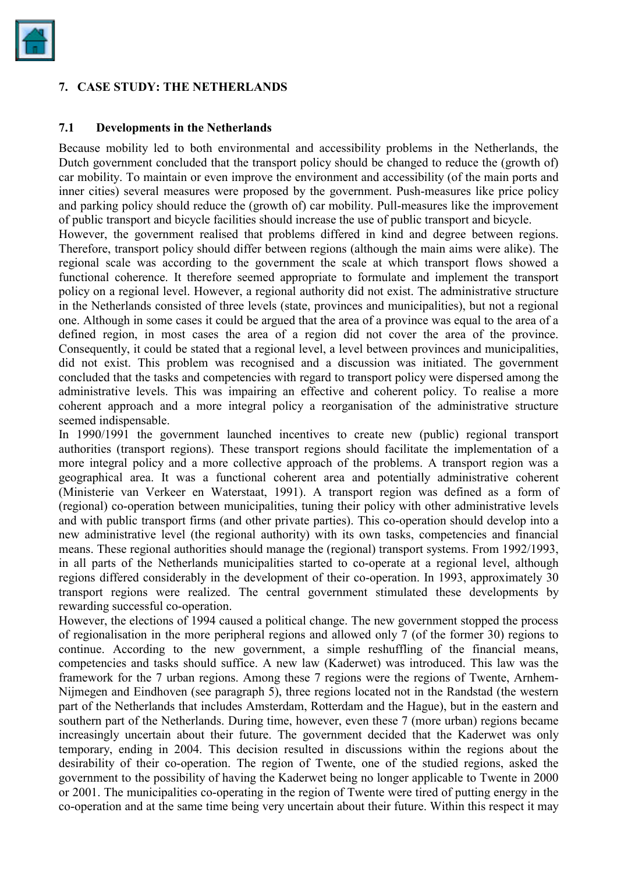

### **7. CASE STUDY: THE NETHERLANDS**

#### **7.1 Developments in the Netherlands**

Because mobility led to both environmental and accessibility problems in the Netherlands, the Dutch government concluded that the transport policy should be changed to reduce the (growth of) car mobility. To maintain or even improve the environment and accessibility (of the main ports and inner cities) several measures were proposed by the government. Push-measures like price policy and parking policy should reduce the (growth of) car mobility. Pull-measures like the improvement of public transport and bicycle facilities should increase the use of public transport and bicycle.

However, the government realised that problems differed in kind and degree between regions. Therefore, transport policy should differ between regions (although the main aims were alike). The regional scale was according to the government the scale at which transport flows showed a functional coherence. It therefore seemed appropriate to formulate and implement the transport policy on a regional level. However, a regional authority did not exist. The administrative structure in the Netherlands consisted of three levels (state, provinces and municipalities), but not a regional one. Although in some cases it could be argued that the area of a province was equal to the area of a defined region, in most cases the area of a region did not cover the area of the province. Consequently, it could be stated that a regional level, a level between provinces and municipalities, did not exist. This problem was recognised and a discussion was initiated. The government concluded that the tasks and competencies with regard to transport policy were dispersed among the administrative levels. This was impairing an effective and coherent policy. To realise a more coherent approach and a more integral policy a reorganisation of the administrative structure seemed indispensable.

In 1990/1991 the government launched incentives to create new (public) regional transport authorities (transport regions). These transport regions should facilitate the implementation of a more integral policy and a more collective approach of the problems. A transport region was a geographical area. It was a functional coherent area and potentially administrative coherent (Ministerie van Verkeer en Waterstaat, 1991). A transport region was defined as a form of (regional) co-operation between municipalities, tuning their policy with other administrative levels and with public transport firms (and other private parties). This co-operation should develop into a new administrative level (the regional authority) with its own tasks, competencies and financial means. These regional authorities should manage the (regional) transport systems. From 1992/1993, in all parts of the Netherlands municipalities started to co-operate at a regional level, although regions differed considerably in the development of their co-operation. In 1993, approximately 30 transport regions were realized. The central government stimulated these developments by rewarding successful co-operation.

However, the elections of 1994 caused a political change. The new government stopped the process of regionalisation in the more peripheral regions and allowed only 7 (of the former 30) regions to continue. According to the new government, a simple reshuffling of the financial means, competencies and tasks should suffice. A new law (Kaderwet) was introduced. This law was the framework for the 7 urban regions. Among these 7 regions were the regions of Twente, Arnhem-Nijmegen and Eindhoven (see paragraph 5), three regions located not in the Randstad (the western part of the Netherlands that includes Amsterdam, Rotterdam and the Hague), but in the eastern and southern part of the Netherlands. During time, however, even these 7 (more urban) regions became increasingly uncertain about their future. The government decided that the Kaderwet was only temporary, ending in 2004. This decision resulted in discussions within the regions about the desirability of their co-operation. The region of Twente, one of the studied regions, asked the government to the possibility of having the Kaderwet being no longer applicable to Twente in 2000 or 2001. The municipalities co-operating in the region of Twente were tired of putting energy in the co-operation and at the same time being very uncertain about their future. Within this respect it may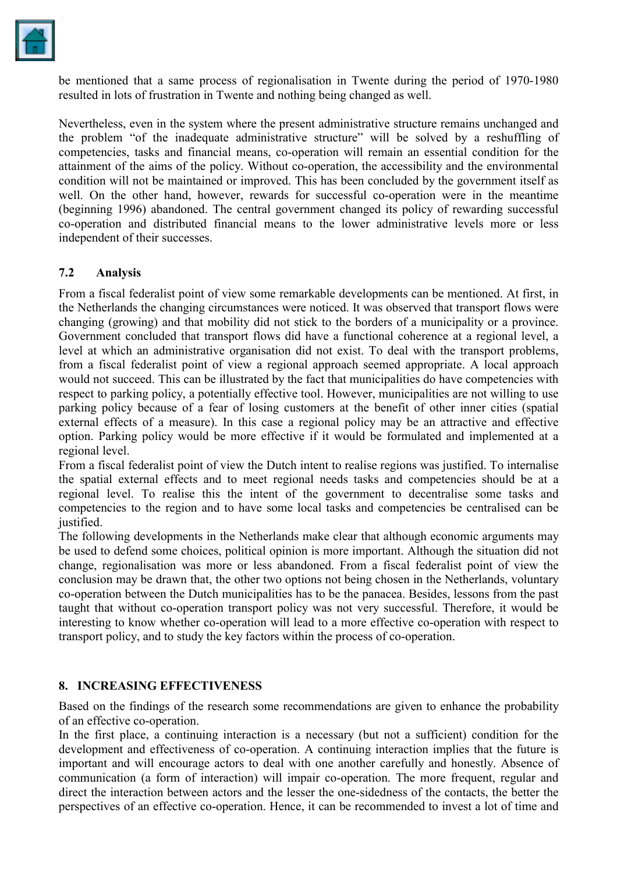

be mentioned that a same process of regionalisation in Twente during the period of 1970-1980 resulted in lots of frustration in Twente and nothing being changed as well.

Nevertheless, even in the system where the present administrative structure remains unchanged and the problem "of the inadequate administrative structure" will be solved by a reshuffling of competencies, tasks and financial means, co-operation will remain an essential condition for the attainment of the aims of the policy. Without co-operation, the accessibility and the environmental condition will not be maintained or improved. This has been concluded by the government itself as well. On the other hand, however, rewards for successful co-operation were in the meantime (beginning 1996) abandoned. The central government changed its policy of rewarding successful co-operation and distributed financial means to the lower administrative levels more or less independent of their successes.

### **7.2 Analysis**

From a fiscal federalist point of view some remarkable developments can be mentioned. At first, in the Netherlands the changing circumstances were noticed. It was observed that transport flows were changing (growing) and that mobility did not stick to the borders of a municipality or a province. Government concluded that transport flows did have a functional coherence at a regional level, a level at which an administrative organisation did not exist. To deal with the transport problems, from a fiscal federalist point of view a regional approach seemed appropriate. A local approach would not succeed. This can be illustrated by the fact that municipalities do have competencies with respect to parking policy, a potentially effective tool. However, municipalities are not willing to use parking policy because of a fear of losing customers at the benefit of other inner cities (spatial external effects of a measure). In this case a regional policy may be an attractive and effective option. Parking policy would be more effective if it would be formulated and implemented at a regional level.

From a fiscal federalist point of view the Dutch intent to realise regions was justified. To internalise the spatial external effects and to meet regional needs tasks and competencies should be at a regional level. To realise this the intent of the government to decentralise some tasks and competencies to the region and to have some local tasks and competencies be centralised can be justified.

The following developments in the Netherlands make clear that although economic arguments may be used to defend some choices, political opinion is more important. Although the situation did not change, regionalisation was more or less abandoned. From a fiscal federalist point of view the conclusion may be drawn that, the other two options not being chosen in the Netherlands, voluntary co-operation between the Dutch municipalities has to be the panacea. Besides, lessons from the past taught that without co-operation transport policy was not very successful. Therefore, it would be interesting to know whether co-operation will lead to a more effective co-operation with respect to transport policy, and to study the key factors within the process of co-operation.

### **8. INCREASING EFFECTIVENESS**

Based on the findings of the research some recommendations are given to enhance the probability of an effective co-operation.

In the first place, a continuing interaction is a necessary (but not a sufficient) condition for the development and effectiveness of co-operation. A continuing interaction implies that the future is important and will encourage actors to deal with one another carefully and honestly. Absence of communication (a form of interaction) will impair co-operation. The more frequent, regular and direct the interaction between actors and the lesser the one-sidedness of the contacts, the better the perspectives of an effective co-operation. Hence, it can be recommended to invest a lot of time and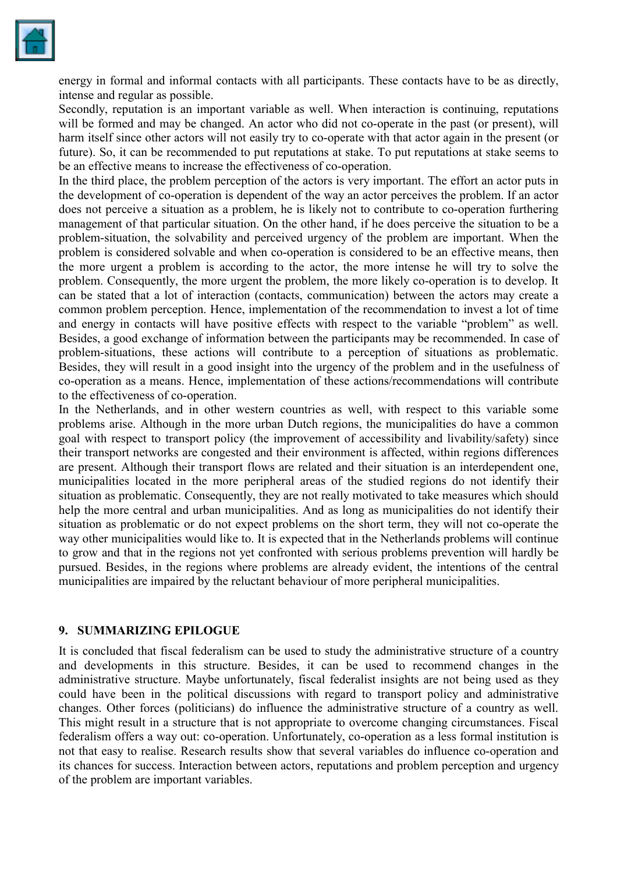

energy in formal and informal contacts with all participants. These contacts have to be as directly, intense and regular as possible.

Secondly, reputation is an important variable as well. When interaction is continuing, reputations will be formed and may be changed. An actor who did not co-operate in the past (or present), will harm itself since other actors will not easily try to co-operate with that actor again in the present (or future). So, it can be recommended to put reputations at stake. To put reputations at stake seems to be an effective means to increase the effectiveness of co-operation.

In the third place, the problem perception of the actors is very important. The effort an actor puts in the development of co-operation is dependent of the way an actor perceives the problem. If an actor does not perceive a situation as a problem, he is likely not to contribute to co-operation furthering management of that particular situation. On the other hand, if he does perceive the situation to be a problem-situation, the solvability and perceived urgency of the problem are important. When the problem is considered solvable and when co-operation is considered to be an effective means, then the more urgent a problem is according to the actor, the more intense he will try to solve the problem. Consequently, the more urgent the problem, the more likely co-operation is to develop. It can be stated that a lot of interaction (contacts, communication) between the actors may create a common problem perception. Hence, implementation of the recommendation to invest a lot of time and energy in contacts will have positive effects with respect to the variable "problem" as well. Besides, a good exchange of information between the participants may be recommended. In case of problem-situations, these actions will contribute to a perception of situations as problematic. Besides, they will result in a good insight into the urgency of the problem and in the usefulness of co-operation as a means. Hence, implementation of these actions/recommendations will contribute to the effectiveness of co-operation.

In the Netherlands, and in other western countries as well, with respect to this variable some problems arise. Although in the more urban Dutch regions, the municipalities do have a common goal with respect to transport policy (the improvement of accessibility and livability/safety) since their transport networks are congested and their environment is affected, within regions differences are present. Although their transport flows are related and their situation is an interdependent one, municipalities located in the more peripheral areas of the studied regions do not identify their situation as problematic. Consequently, they are not really motivated to take measures which should help the more central and urban municipalities. And as long as municipalities do not identify their situation as problematic or do not expect problems on the short term, they will not co-operate the way other municipalities would like to. It is expected that in the Netherlands problems will continue to grow and that in the regions not yet confronted with serious problems prevention will hardly be pursued. Besides, in the regions where problems are already evident, the intentions of the central municipalities are impaired by the reluctant behaviour of more peripheral municipalities.

### **9. SUMMARIZING EPILOGUE**

It is concluded that fiscal federalism can be used to study the administrative structure of a country and developments in this structure. Besides, it can be used to recommend changes in the administrative structure. Maybe unfortunately, fiscal federalist insights are not being used as they could have been in the political discussions with regard to transport policy and administrative changes. Other forces (politicians) do influence the administrative structure of a country as well. This might result in a structure that is not appropriate to overcome changing circumstances. Fiscal federalism offers a way out: co-operation. Unfortunately, co-operation as a less formal institution is not that easy to realise. Research results show that several variables do influence co-operation and its chances for success. Interaction between actors, reputations and problem perception and urgency of the problem are important variables.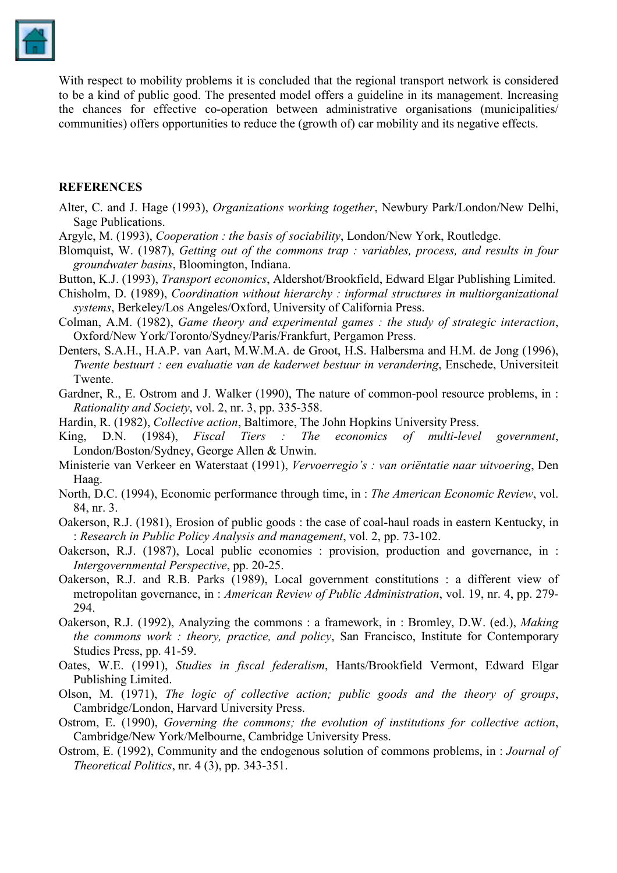

With respect to mobility problems it is concluded that the regional transport network is considered to be a kind of public good. The presented model offers a guideline in its management. Increasing the chances for effective co-operation between administrative organisations (municipalities/ communities) offers opportunities to reduce the (growth of) car mobility and its negative effects.

#### **REFERENCES**

- Alter, C. and J. Hage (1993), *Organizations working together*, Newbury Park/London/New Delhi, Sage Publications.
- Argyle, M. (1993), *Cooperation : the basis of sociability*, London/New York, Routledge.
- Blomquist, W. (1987), *Getting out of the commons trap : variables, process, and results in four groundwater basins*, Bloomington, Indiana.
- Button, K.J. (1993), *Transport economics*, Aldershot/Brookfield, Edward Elgar Publishing Limited.
- Chisholm, D. (1989), *Coordination without hierarchy : informal structures in multiorganizational systems*, Berkeley/Los Angeles/Oxford, University of California Press.
- Colman, A.M. (1982), *Game theory and experimental games : the study of strategic interaction*, Oxford/New York/Toronto/Sydney/Paris/Frankfurt, Pergamon Press.
- Denters, S.A.H., H.A.P. van Aart, M.W.M.A. de Groot, H.S. Halbersma and H.M. de Jong (1996), *Twente bestuurt : een evaluatie van de kaderwet bestuur in verandering*, Enschede, Universiteit Twente.
- Gardner, R., E. Ostrom and J. Walker (1990), The nature of common-pool resource problems, in : *Rationality and Society*, vol. 2, nr. 3, pp. 335-358.
- Hardin, R. (1982), *Collective action*, Baltimore, The John Hopkins University Press.
- King, D.N. (1984), *Fiscal Tiers : The economics of multi-level government*, London/Boston/Sydney, George Allen & Unwin.
- Ministerie van Verkeer en Waterstaat (1991), *Vervoerregio's : van oriëntatie naar uitvoering*, Den Haag.
- North, D.C. (1994), Economic performance through time, in : *The American Economic Review*, vol. 84, nr. 3.
- Oakerson, R.J. (1981), Erosion of public goods : the case of coal-haul roads in eastern Kentucky, in : *Research in Public Policy Analysis and management*, vol. 2, pp. 73-102.
- Oakerson, R.J. (1987), Local public economies : provision, production and governance, in : *Intergovernmental Perspective*, pp. 20-25.
- Oakerson, R.J. and R.B. Parks (1989), Local government constitutions : a different view of metropolitan governance, in : *American Review of Public Administration*, vol. 19, nr. 4, pp. 279- 294.
- Oakerson, R.J. (1992), Analyzing the commons : a framework, in : Bromley, D.W. (ed.), *Making the commons work : theory, practice, and policy*, San Francisco, Institute for Contemporary Studies Press, pp. 41-59.
- Oates, W.E. (1991), *Studies in fiscal federalism*, Hants/Brookfield Vermont, Edward Elgar Publishing Limited.
- Olson, M. (1971), *The logic of collective action; public goods and the theory of groups*, Cambridge/London, Harvard University Press.
- Ostrom, E. (1990), *Governing the commons; the evolution of institutions for collective action*, Cambridge/New York/Melbourne, Cambridge University Press.
- Ostrom, E. (1992), Community and the endogenous solution of commons problems, in : *Journal of Theoretical Politics*, nr. 4 (3), pp. 343-351.